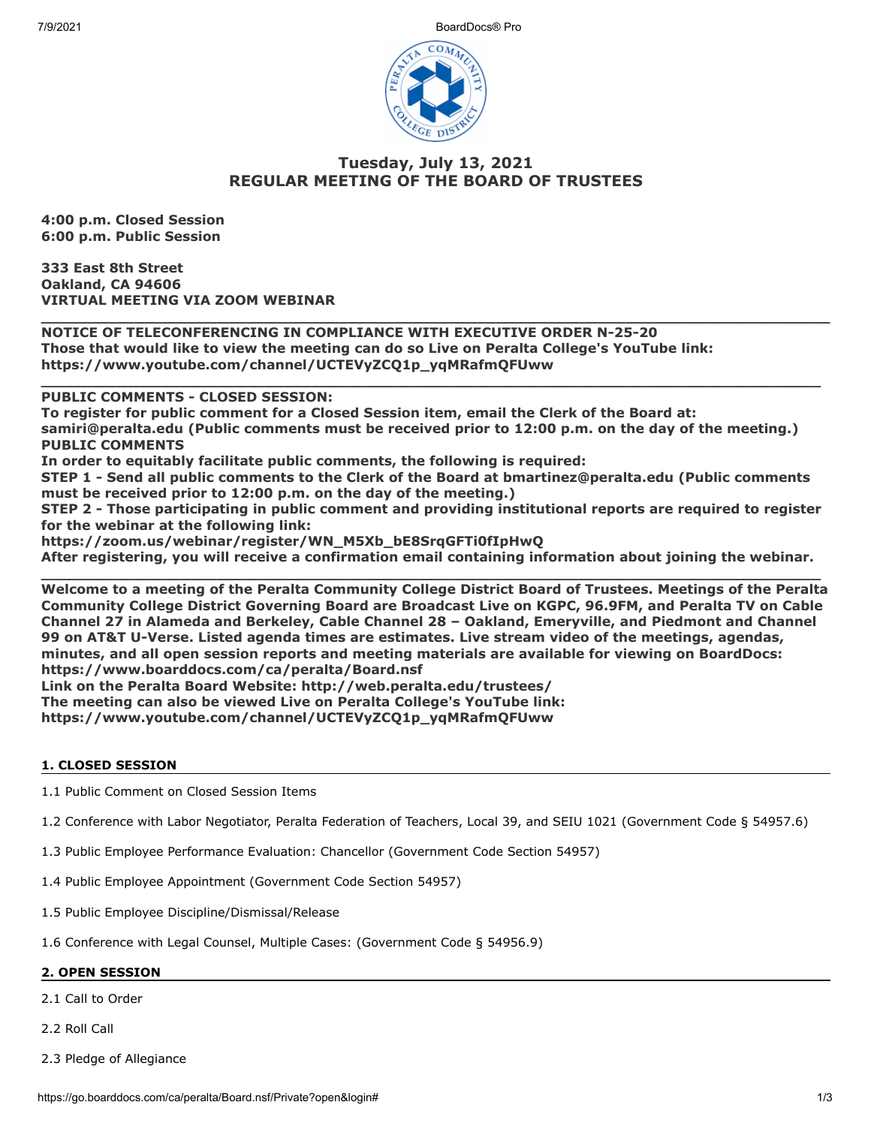7/9/2021 BoardDocs® Pro



# **Tuesday, July 13, 2021 REGULAR MEETING OF THE BOARD OF TRUSTEES**

**\_\_\_\_\_\_\_\_\_\_\_\_\_\_\_\_\_\_\_\_\_\_\_\_\_\_\_\_\_\_\_\_\_\_\_\_\_\_\_\_\_\_\_\_\_\_\_\_\_\_\_\_\_\_\_\_\_\_\_\_\_\_\_\_\_\_\_\_\_\_\_\_\_\_\_\_\_\_\_\_\_\_\_\_\_**

**\_\_\_\_\_\_\_\_\_\_\_\_\_\_\_\_\_\_\_\_\_\_\_\_\_\_\_\_\_\_\_\_\_\_\_\_\_\_\_\_\_\_\_\_\_\_\_\_\_\_\_\_\_\_\_\_\_\_\_\_\_\_\_\_\_\_\_\_\_\_\_\_\_\_\_\_\_\_\_\_\_\_\_\_**

**4:00 p.m. Closed Session 6:00 p.m. Public Session**

**333 East 8th Street Oakland, CA 94606 VIRTUAL MEETING VIA ZOOM WEBINAR**

**NOTICE OF TELECONFERENCING IN COMPLIANCE WITH EXECUTIVE ORDER N-25-20 Those that would like to view the meeting can do so Live on Peralta College's YouTube link: https://www.youtube.com/channel/UCTEVyZCQ1p\_yqMRafmQFUww** 

**PUBLIC COMMENTS - CLOSED SESSION:** 

**To register for public comment for a Closed Session item, email the Clerk of the Board at: samiri@peralta.edu (Public comments must be received prior to 12:00 p.m. on the day of the meeting.) PUBLIC COMMENTS**

**In order to equitably facilitate public comments, the following is required:**

**STEP 1 - Send all public comments to the Clerk of the Board at bmartinez@peralta.edu (Public comments must be received prior to 12:00 p.m. on the day of the meeting.)**

**STEP 2 - Those participating in public comment and providing institutional reports are required to register for the webinar at the following link:**

**https://zoom.us/webinar/register/WN\_M5Xb\_bE8SrqGFTi0fIpHwQ**

**After registering, you will receive a confirmation email containing information about joining the webinar.**

**\_\_\_\_\_\_\_\_\_\_\_\_\_\_\_\_\_\_\_\_\_\_\_\_\_\_\_\_\_\_\_\_\_\_\_\_\_\_\_\_\_\_\_\_\_\_\_\_\_\_\_\_\_\_\_\_\_\_\_\_\_\_\_\_\_\_\_\_\_\_\_\_\_\_\_\_\_\_\_\_\_\_\_\_ Welcome to a meeting of the Peralta Community College District Board of Trustees. Meetings of the Peralta Community College District Governing Board are Broadcast Live on KGPC, 96.9FM, and Peralta TV on Cable Channel 27 in Alameda and Berkeley, Cable Channel 28 – Oakland, Emeryville, and Piedmont and Channel 99 on AT&T U-Verse. Listed agenda times are estimates. Live stream video of the meetings, agendas, minutes, and all open session reports and meeting materials are available for viewing on BoardDocs: https://www.boarddocs.com/ca/peralta/Board.nsf Link on the Peralta Board Website: http://web.peralta.edu/trustees/**

**The meeting can also be viewed Live on Peralta College's YouTube link:**

**https://www.youtube.com/channel/UCTEVyZCQ1p\_yqMRafmQFUww**

## **1. CLOSED SESSION**

1.1 Public Comment on Closed Session Items

- 1.2 Conference with Labor Negotiator, Peralta Federation of Teachers, Local 39, and SEIU 1021 (Government Code § 54957.6)
- 1.3 Public Employee Performance Evaluation: Chancellor (Government Code Section 54957)
- 1.4 Public Employee Appointment (Government Code Section 54957)
- 1.5 Public Employee Discipline/Dismissal/Release

1.6 Conference with Legal Counsel, Multiple Cases: (Government Code § 54956.9)

## **2. OPEN SESSION**

2.1 Call to Order

2.2 Roll Call

2.3 Pledge of Allegiance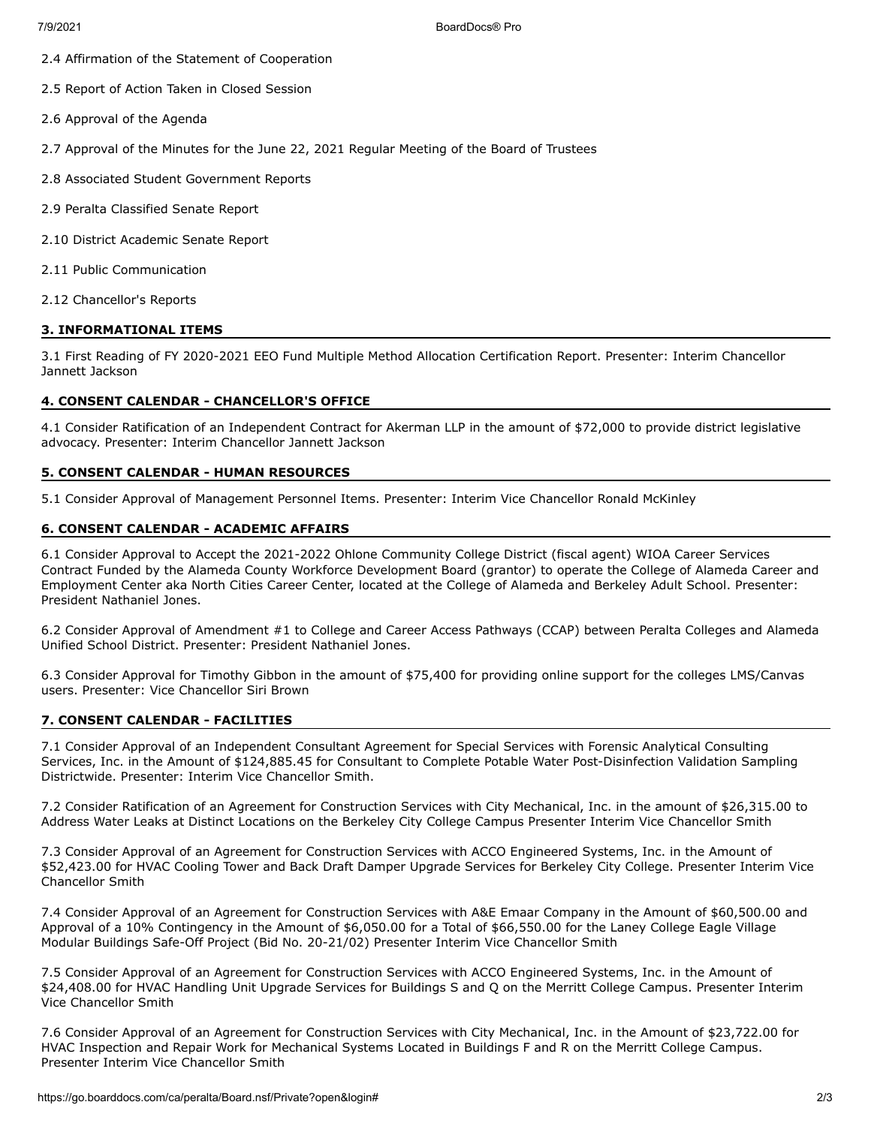7/9/2021 BoardDocs® Pro

- 2.4 Affirmation of the Statement of Cooperation
- 2.5 Report of Action Taken in Closed Session
- 2.6 Approval of the Agenda
- 2.7 Approval of the Minutes for the June 22, 2021 Regular Meeting of the Board of Trustees
- 2.8 Associated Student Government Reports
- 2.9 Peralta Classified Senate Report
- 2.10 District Academic Senate Report
- 2.11 Public Communication
- 2.12 Chancellor's Reports

### **3. INFORMATIONAL ITEMS**

3.1 First Reading of FY 2020-2021 EEO Fund Multiple Method Allocation Certification Report. Presenter: Interim Chancellor Jannett Jackson

#### **4. CONSENT CALENDAR - CHANCELLOR'S OFFICE**

4.1 Consider Ratification of an Independent Contract for Akerman LLP in the amount of \$72,000 to provide district legislative advocacy. Presenter: Interim Chancellor Jannett Jackson

#### **5. CONSENT CALENDAR - HUMAN RESOURCES**

5.1 Consider Approval of Management Personnel Items. Presenter: Interim Vice Chancellor Ronald McKinley

### **6. CONSENT CALENDAR - ACADEMIC AFFAIRS**

6.1 Consider Approval to Accept the 2021-2022 Ohlone Community College District (fiscal agent) WIOA Career Services Contract Funded by the Alameda County Workforce Development Board (grantor) to operate the College of Alameda Career and Employment Center aka North Cities Career Center, located at the College of Alameda and Berkeley Adult School. Presenter: President Nathaniel Jones.

6.2 Consider Approval of Amendment #1 to College and Career Access Pathways (CCAP) between Peralta Colleges and Alameda Unified School District. Presenter: President Nathaniel Jones.

6.3 Consider Approval for Timothy Gibbon in the amount of \$75,400 for providing online support for the colleges LMS/Canvas users. Presenter: Vice Chancellor Siri Brown

### **7. CONSENT CALENDAR - FACILITIES**

7.1 Consider Approval of an Independent Consultant Agreement for Special Services with Forensic Analytical Consulting Services, Inc. in the Amount of \$124,885.45 for Consultant to Complete Potable Water Post-Disinfection Validation Sampling Districtwide. Presenter: Interim Vice Chancellor Smith.

7.2 Consider Ratification of an Agreement for Construction Services with City Mechanical, Inc. in the amount of \$26,315.00 to Address Water Leaks at Distinct Locations on the Berkeley City College Campus Presenter Interim Vice Chancellor Smith

7.3 Consider Approval of an Agreement for Construction Services with ACCO Engineered Systems, Inc. in the Amount of \$52,423.00 for HVAC Cooling Tower and Back Draft Damper Upgrade Services for Berkeley City College. Presenter Interim Vice Chancellor Smith

7.4 Consider Approval of an Agreement for Construction Services with A&E Emaar Company in the Amount of \$60,500.00 and Approval of a 10% Contingency in the Amount of \$6,050.00 for a Total of \$66,550.00 for the Laney College Eagle Village Modular Buildings Safe-Off Project (Bid No. 20-21/02) Presenter Interim Vice Chancellor Smith

7.5 Consider Approval of an Agreement for Construction Services with ACCO Engineered Systems, Inc. in the Amount of \$24,408.00 for HVAC Handling Unit Upgrade Services for Buildings S and Q on the Merritt College Campus. Presenter Interim Vice Chancellor Smith

7.6 Consider Approval of an Agreement for Construction Services with City Mechanical, Inc. in the Amount of \$23,722.00 for HVAC Inspection and Repair Work for Mechanical Systems Located in Buildings F and R on the Merritt College Campus. Presenter Interim Vice Chancellor Smith